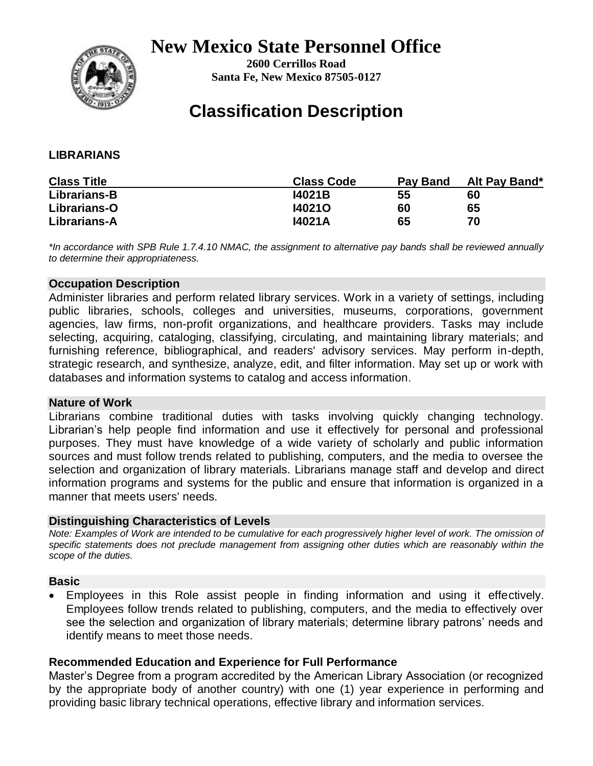## **New Mexico State Personnel Office**



**2600 Cerrillos Road Santa Fe, New Mexico 87505-0127** 

# **Classification Description**

### **LIBRARIANS**

| <b>Class Title</b> | <b>Class Code</b> | Pay Band | Alt Pay Band* |
|--------------------|-------------------|----------|---------------|
| Librarians-B       | <b>I4021B</b>     | 55       | 60            |
| Librarians-O       | 140210            | 60       | 65            |
| Librarians-A       | 14021A            | 65       | 70            |

*\*In accordance with SPB Rule 1.7.4.10 NMAC, the assignment to alternative pay bands shall be reviewed annually to determine their appropriateness.*

#### **Occupation Description**

Administer libraries and perform related library services. Work in a variety of settings, including public libraries, schools, colleges and universities, museums, corporations, government agencies, law firms, non-profit organizations, and healthcare providers. Tasks may include selecting, acquiring, cataloging, classifying, circulating, and maintaining library materials; and furnishing reference, bibliographical, and readers' advisory services. May perform in-depth, strategic research, and synthesize, analyze, edit, and filter information. May set up or work with databases and information systems to catalog and access information.

#### **Nature of Work**

Librarians combine traditional duties with tasks involving quickly changing technology. Librarian's help people find information and use it effectively for personal and professional purposes. They must have knowledge of a wide variety of scholarly and public information sources and must follow trends related to publishing, computers, and the media to oversee the selection and organization of library materials. Librarians manage staff and develop and direct information programs and systems for the public and ensure that information is organized in a manner that meets users' needs.

### **Distinguishing Characteristics of Levels**

*Note: Examples of Work are intended to be cumulative for each progressively higher level of work. The omission of specific statements does not preclude management from assigning other duties which are reasonably within the scope of the duties.* 

### **Basic**

 Employees in this Role assist people in finding information and using it effectively. Employees follow trends related to publishing, computers, and the media to effectively over see the selection and organization of library materials; determine library patrons' needs and identify means to meet those needs.

### **Recommended Education and Experience for Full Performance**

Master's Degree from a program accredited by the American Library Association (or recognized by the appropriate body of another country) with one (1) year experience in performing and providing basic library technical operations, effective library and information services.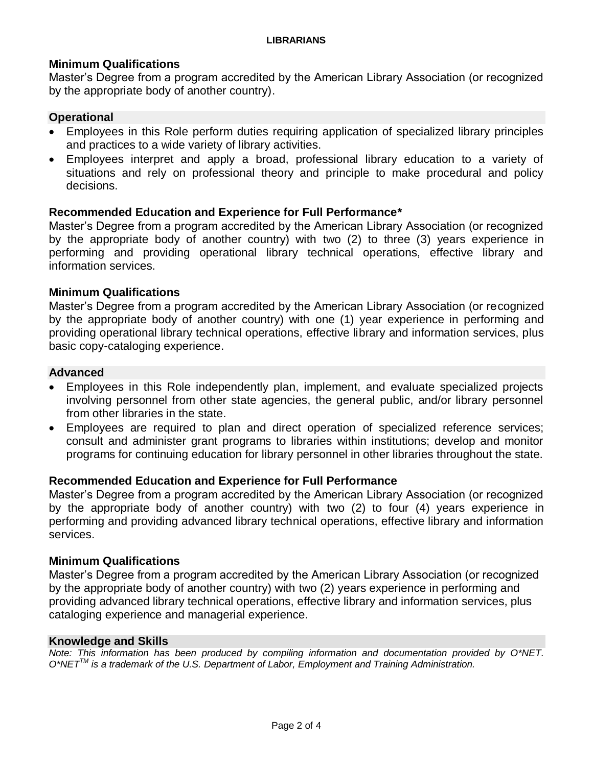#### **Minimum Qualifications**

Master's Degree from a program accredited by the American Library Association (or recognized by the appropriate body of another country).

#### **Operational**

- Employees in this Role perform duties requiring application of specialized library principles and practices to a wide variety of library activities.
- Employees interpret and apply a broad, professional library education to a variety of situations and rely on professional theory and principle to make procedural and policy decisions.

#### **Recommended Education and Experience for Full Performance\***

Master's Degree from a program accredited by the American Library Association (or recognized by the appropriate body of another country) with two (2) to three (3) years experience in performing and providing operational library technical operations, effective library and information services.

#### **Minimum Qualifications**

Master's Degree from a program accredited by the American Library Association (or recognized by the appropriate body of another country) with one (1) year experience in performing and providing operational library technical operations, effective library and information services, plus basic copy-cataloging experience.

#### **Advanced**

- Employees in this Role independently plan, implement, and evaluate specialized projects involving personnel from other state agencies, the general public, and/or library personnel from other libraries in the state.
- Employees are required to plan and direct operation of specialized reference services; consult and administer grant programs to libraries within institutions; develop and monitor programs for continuing education for library personnel in other libraries throughout the state.

#### **Recommended Education and Experience for Full Performance**

Master's Degree from a program accredited by the American Library Association (or recognized by the appropriate body of another country) with two (2) to four (4) years experience in performing and providing advanced library technical operations, effective library and information services.

#### **Minimum Qualifications**

Master's Degree from a program accredited by the American Library Association (or recognized by the appropriate body of another country) with two (2) years experience in performing and providing advanced library technical operations, effective library and information services, plus cataloging experience and managerial experience.

#### **Knowledge and Skills**

*Note: This information has been produced by compiling information and documentation provided by O\*NET. O\*NETTM is a trademark of the U.S. Department of Labor, Employment and Training Administration.*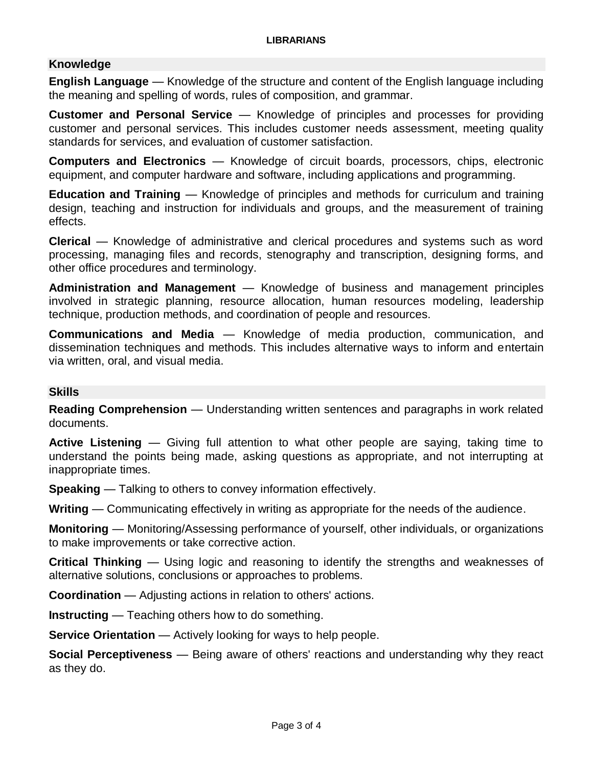### **Knowledge**

**English Language** — Knowledge of the structure and content of the English language including the meaning and spelling of words, rules of composition, and grammar.

**Customer and Personal Service** — Knowledge of principles and processes for providing customer and personal services. This includes customer needs assessment, meeting quality standards for services, and evaluation of customer satisfaction.

**Computers and Electronics** — Knowledge of circuit boards, processors, chips, electronic equipment, and computer hardware and software, including applications and programming.

**Education and Training** — Knowledge of principles and methods for curriculum and training design, teaching and instruction for individuals and groups, and the measurement of training effects.

**Clerical** — Knowledge of administrative and clerical procedures and systems such as word processing, managing files and records, stenography and transcription, designing forms, and other office procedures and terminology.

**Administration and Management** — Knowledge of business and management principles involved in strategic planning, resource allocation, human resources modeling, leadership technique, production methods, and coordination of people and resources.

**Communications and Media** — Knowledge of media production, communication, and dissemination techniques and methods. This includes alternative ways to inform and entertain via written, oral, and visual media.

### **Skills**

**Reading Comprehension** — Understanding written sentences and paragraphs in work related documents.

**Active Listening** — Giving full attention to what other people are saying, taking time to understand the points being made, asking questions as appropriate, and not interrupting at inappropriate times.

**Speaking** — Talking to others to convey information effectively.

**Writing** — Communicating effectively in writing as appropriate for the needs of the audience.

**Monitoring** — Monitoring/Assessing performance of yourself, other individuals, or organizations to make improvements or take corrective action.

**Critical Thinking** — Using logic and reasoning to identify the strengths and weaknesses of alternative solutions, conclusions or approaches to problems.

**Coordination** — Adjusting actions in relation to others' actions.

**Instructing** — Teaching others how to do something.

**Service Orientation** — Actively looking for ways to help people.

**Social Perceptiveness** — Being aware of others' reactions and understanding why they react as they do.